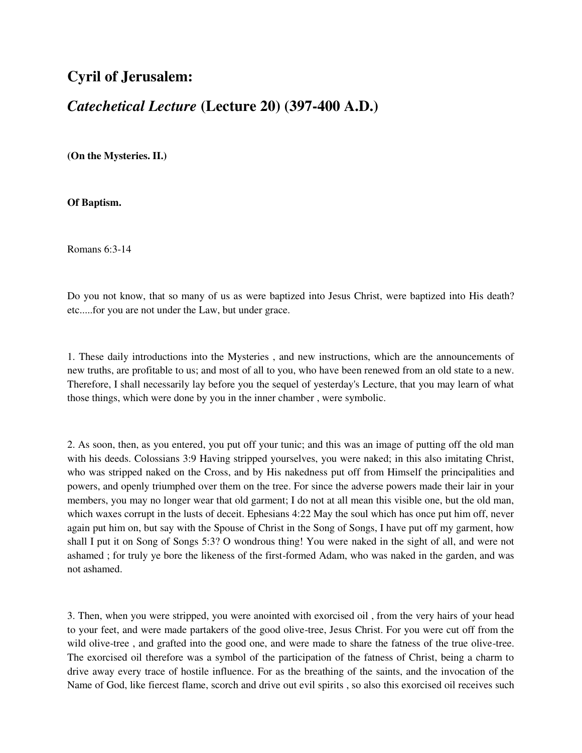## **Cyril of Jerusalem:**

## *Catechetical Lecture* **(Lecture 20) (397-400 A.D.)**

**(On the Mysteries. II.)** 

**Of Baptism.** 

Romans 6:3-14

Do you not know, that so many of us as were baptized into Jesus Christ, were baptized into His death? etc.....for you are not under the Law, but under grace.

1. These daily introductions into the Mysteries , and new instructions, which are the announcements of new truths, are profitable to us; and most of all to you, who have been renewed from an old state to a new. Therefore, I shall necessarily lay before you the sequel of yesterday's Lecture, that you may learn of what those things, which were done by you in the inner chamber , were symbolic.

2. As soon, then, as you entered, you put off your tunic; and this was an image of putting off the old man with his deeds. Colossians 3:9 Having stripped yourselves, you were naked; in this also imitating Christ, who was stripped naked on the Cross, and by His nakedness put off from Himself the principalities and powers, and openly triumphed over them on the tree. For since the adverse powers made their lair in your members, you may no longer wear that old garment; I do not at all mean this visible one, but the old man, which waxes corrupt in the lusts of deceit. Ephesians 4:22 May the soul which has once put him off, never again put him on, but say with the Spouse of Christ in the Song of Songs, I have put off my garment, how shall I put it on Song of Songs 5:3? O wondrous thing! You were naked in the sight of all, and were not ashamed ; for truly ye bore the likeness of the first-formed Adam, who was naked in the garden, and was not ashamed.

3. Then, when you were stripped, you were anointed with exorcised oil , from the very hairs of your head to your feet, and were made partakers of the good olive-tree, Jesus Christ. For you were cut off from the wild olive-tree , and grafted into the good one, and were made to share the fatness of the true olive-tree. The exorcised oil therefore was a symbol of the participation of the fatness of Christ, being a charm to drive away every trace of hostile influence. For as the breathing of the saints, and the invocation of the Name of God, like fiercest flame, scorch and drive out evil spirits , so also this exorcised oil receives such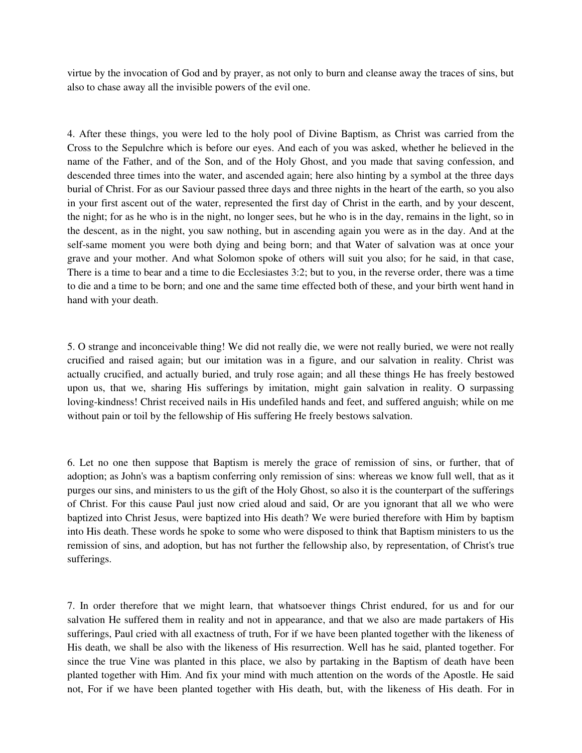virtue by the invocation of God and by prayer, as not only to burn and cleanse away the traces of sins, but also to chase away all the invisible powers of the evil one.

4. After these things, you were led to the holy pool of Divine Baptism, as Christ was carried from the Cross to the Sepulchre which is before our eyes. And each of you was asked, whether he believed in the name of the Father, and of the Son, and of the Holy Ghost, and you made that saving confession, and descended three times into the water, and ascended again; here also hinting by a symbol at the three days burial of Christ. For as our Saviour passed three days and three nights in the heart of the earth, so you also in your first ascent out of the water, represented the first day of Christ in the earth, and by your descent, the night; for as he who is in the night, no longer sees, but he who is in the day, remains in the light, so in the descent, as in the night, you saw nothing, but in ascending again you were as in the day. And at the self-same moment you were both dying and being born; and that Water of salvation was at once your grave and your mother. And what Solomon spoke of others will suit you also; for he said, in that case, There is a time to bear and a time to die Ecclesiastes 3:2; but to you, in the reverse order, there was a time to die and a time to be born; and one and the same time effected both of these, and your birth went hand in hand with your death.

5. O strange and inconceivable thing! We did not really die, we were not really buried, we were not really crucified and raised again; but our imitation was in a figure, and our salvation in reality. Christ was actually crucified, and actually buried, and truly rose again; and all these things He has freely bestowed upon us, that we, sharing His sufferings by imitation, might gain salvation in reality. O surpassing loving-kindness! Christ received nails in His undefiled hands and feet, and suffered anguish; while on me without pain or toil by the fellowship of His suffering He freely bestows salvation.

6. Let no one then suppose that Baptism is merely the grace of remission of sins, or further, that of adoption; as John's was a baptism conferring only remission of sins: whereas we know full well, that as it purges our sins, and ministers to us the gift of the Holy Ghost, so also it is the counterpart of the sufferings of Christ. For this cause Paul just now cried aloud and said, Or are you ignorant that all we who were baptized into Christ Jesus, were baptized into His death? We were buried therefore with Him by baptism into His death. These words he spoke to some who were disposed to think that Baptism ministers to us the remission of sins, and adoption, but has not further the fellowship also, by representation, of Christ's true sufferings.

7. In order therefore that we might learn, that whatsoever things Christ endured, for us and for our salvation He suffered them in reality and not in appearance, and that we also are made partakers of His sufferings, Paul cried with all exactness of truth, For if we have been planted together with the likeness of His death, we shall be also with the likeness of His resurrection. Well has he said, planted together. For since the true Vine was planted in this place, we also by partaking in the Baptism of death have been planted together with Him. And fix your mind with much attention on the words of the Apostle. He said not, For if we have been planted together with His death, but, with the likeness of His death. For in